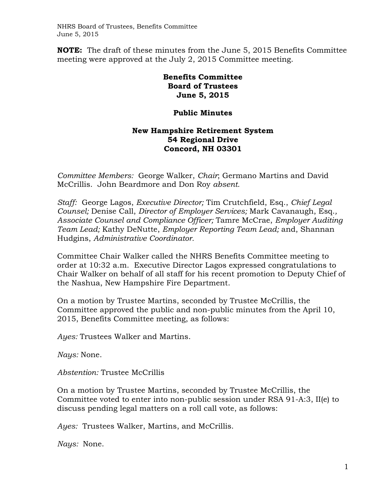NHRS Board of Trustees, Benefits Committee June 5, 2015

**NOTE:** The draft of these minutes from the June 5, 2015 Benefits Committee meeting were approved at the July 2, 2015 Committee meeting.

## **Benefits Committee Board of Trustees June 5, 2015**

## **Public Minutes**

## **New Hampshire Retirement System 54 Regional Drive Concord, NH 03301**

*Committee Members:* George Walker, *Chair*; Germano Martins and David McCrillis. John Beardmore and Don Roy *absent.* 

*Staff:* George Lagos, *Executive Director;* Tim Crutchfield, Esq., *Chief Legal Counsel;* Denise Call, *Director of Employer Services;* Mark Cavanaugh, Esq.*, Associate Counsel and Compliance Officer;* Tamre McCrae, *Employer Auditing Team Lead;* Kathy DeNutte, *Employer Reporting Team Lead;* and, Shannan Hudgins, *Administrative Coordinator.* 

Committee Chair Walker called the NHRS Benefits Committee meeting to order at 10:32 a.m. Executive Director Lagos expressed congratulations to Chair Walker on behalf of all staff for his recent promotion to Deputy Chief of the Nashua, New Hampshire Fire Department.

On a motion by Trustee Martins, seconded by Trustee McCrillis, the Committee approved the public and non-public minutes from the April 10, 2015, Benefits Committee meeting, as follows:

*Ayes:* Trustees Walker and Martins.

*Nays:* None.

*Abstention:* Trustee McCrillis

On a motion by Trustee Martins, seconded by Trustee McCrillis, the Committee voted to enter into non-public session under RSA 91-A:3, II(e) to discuss pending legal matters on a roll call vote, as follows:

*Ayes:* Trustees Walker, Martins, and McCrillis.

*Nays:* None.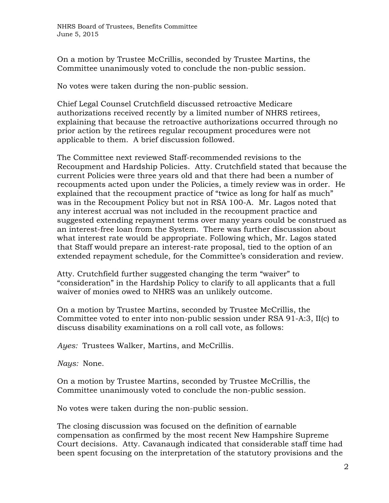On a motion by Trustee McCrillis, seconded by Trustee Martins, the Committee unanimously voted to conclude the non-public session.

No votes were taken during the non-public session.

Chief Legal Counsel Crutchfield discussed retroactive Medicare authorizations received recently by a limited number of NHRS retirees, explaining that because the retroactive authorizations occurred through no prior action by the retirees regular recoupment procedures were not applicable to them. A brief discussion followed.

The Committee next reviewed Staff-recommended revisions to the Recoupment and Hardship Policies. Atty. Crutchfield stated that because the current Policies were three years old and that there had been a number of recoupments acted upon under the Policies, a timely review was in order. He explained that the recoupment practice of "twice as long for half as much" was in the Recoupment Policy but not in RSA 100-A. Mr. Lagos noted that any interest accrual was not included in the recoupment practice and suggested extending repayment terms over many years could be construed as an interest-free loan from the System. There was further discussion about what interest rate would be appropriate. Following which, Mr. Lagos stated that Staff would prepare an interest-rate proposal, tied to the option of an extended repayment schedule, for the Committee's consideration and review.

Atty. Crutchfield further suggested changing the term "waiver" to "consideration" in the Hardship Policy to clarify to all applicants that a full waiver of monies owed to NHRS was an unlikely outcome.

On a motion by Trustee Martins, seconded by Trustee McCrillis, the Committee voted to enter into non-public session under RSA 91-A:3, II(c) to discuss disability examinations on a roll call vote, as follows:

*Ayes:* Trustees Walker, Martins, and McCrillis.

*Nays:* None.

On a motion by Trustee Martins, seconded by Trustee McCrillis, the Committee unanimously voted to conclude the non-public session.

No votes were taken during the non-public session.

The closing discussion was focused on the definition of earnable compensation as confirmed by the most recent New Hampshire Supreme Court decisions. Atty. Cavanaugh indicated that considerable staff time had been spent focusing on the interpretation of the statutory provisions and the